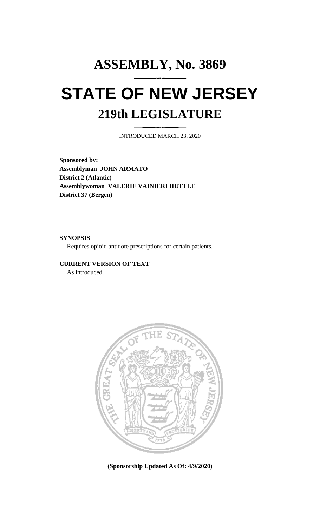# **ASSEMBLY, No. 3869 STATE OF NEW JERSEY 219th LEGISLATURE**

INTRODUCED MARCH 23, 2020

**Sponsored by: Assemblyman JOHN ARMATO District 2 (Atlantic) Assemblywoman VALERIE VAINIERI HUTTLE District 37 (Bergen)**

## **SYNOPSIS**

Requires opioid antidote prescriptions for certain patients.

# **CURRENT VERSION OF TEXT**

As introduced.



**(Sponsorship Updated As Of: 4/9/2020)**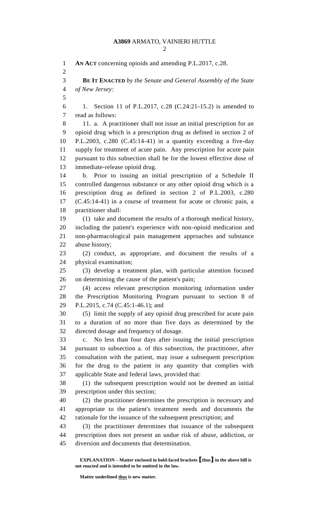| I |
|---|
|   |

 **AN ACT** concerning opioids and amending P.L.2017, c.28. **BE IT ENACTED** *by the Senate and General Assembly of the State of New Jersey:* 1. Section 11 of P.L.2017, c.28 (C.24:21-15.2) is amended to read as follows: 11. a. A practitioner shall not issue an initial prescription for an opioid drug which is a prescription drug as defined in section 2 of P.L.2003, c.280 (C.45:14-41) in a quantity exceeding a five-day supply for treatment of acute pain. Any prescription for acute pain pursuant to this subsection shall be for the lowest effective dose of immediate-release opioid drug. b. Prior to issuing an initial prescription of a Schedule II controlled dangerous substance or any other opioid drug which is a prescription drug as defined in section 2 of P.L.2003, c.280 (C.45:14-41) in a course of treatment for acute or chronic pain, a practitioner shall: (1) take and document the results of a thorough medical history, including the patient's experience with non-opioid medication and non-pharmacological pain management approaches and substance abuse history; (2) conduct, as appropriate, and document the results of a physical examination; (3) develop a treatment plan, with particular attention focused on determining the cause of the patient's pain; (4) access relevant prescription monitoring information under the Prescription Monitoring Program pursuant to section 8 of P.L.2015, c.74 (C.45:1-46.1); and (5) limit the supply of any opioid drug prescribed for acute pain to a duration of no more than five days as determined by the directed dosage and frequency of dosage. c. No less than four days after issuing the initial prescription pursuant to subsection a. of this subsection, the practitioner, after consultation with the patient, may issue a subsequent prescription for the drug to the patient in any quantity that complies with applicable State and federal laws, provided that: (1) the subsequent prescription would not be deemed an initial prescription under this section; (2) the practitioner determines the prescription is necessary and appropriate to the patient's treatment needs and documents the rationale for the issuance of the subsequent prescription; and (3) the practitioner determines that issuance of the subsequent prescription does not present an undue risk of abuse, addiction, or diversion and documents that determination.

**EXPLANATION – Matter enclosed in bold-faced brackets [thus] in the above bill is not enacted and is intended to be omitted in the law.**

**Matter underlined thus is new matter.**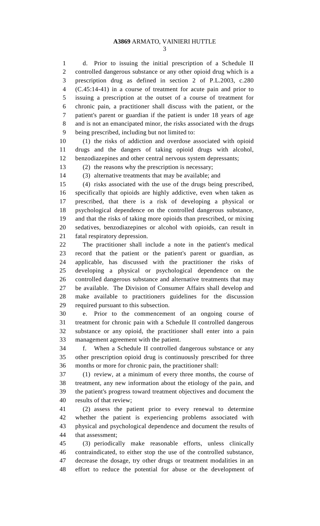## **A3869** ARMATO, VAINIERI HUTTLE

 d. Prior to issuing the initial prescription of a Schedule II controlled dangerous substance or any other opioid drug which is a prescription drug as defined in section 2 of P.L.2003, c.280 (C.45:14-41) in a course of treatment for acute pain and prior to issuing a prescription at the outset of a course of treatment for chronic pain, a practitioner shall discuss with the patient, or the patient's parent or guardian if the patient is under 18 years of age and is not an emancipated minor, the risks associated with the drugs being prescribed, including but not limited to:

 (1) the risks of addiction and overdose associated with opioid drugs and the dangers of taking opioid drugs with alcohol, benzodiazepines and other central nervous system depressants;

(2) the reasons why the prescription is necessary;

(3) alternative treatments that may be available; and

 (4) risks associated with the use of the drugs being prescribed, specifically that opioids are highly addictive, even when taken as prescribed, that there is a risk of developing a physical or psychological dependence on the controlled dangerous substance, and that the risks of taking more opioids than prescribed, or mixing sedatives, benzodiazepines or alcohol with opioids, can result in fatal respiratory depression.

 The practitioner shall include a note in the patient's medical record that the patient or the patient's parent or guardian, as applicable, has discussed with the practitioner the risks of developing a physical or psychological dependence on the controlled dangerous substance and alternative treatments that may be available. The Division of Consumer Affairs shall develop and make available to practitioners guidelines for the discussion required pursuant to this subsection.

 e. Prior to the commencement of an ongoing course of treatment for chronic pain with a Schedule II controlled dangerous substance or any opioid, the practitioner shall enter into a pain management agreement with the patient.

 f. When a Schedule II controlled dangerous substance or any other prescription opioid drug is continuously prescribed for three months or more for chronic pain, the practitioner shall:

 (1) review, at a minimum of every three months, the course of treatment, any new information about the etiology of the pain, and the patient's progress toward treatment objectives and document the results of that review;

 (2) assess the patient prior to every renewal to determine whether the patient is experiencing problems associated with physical and psychological dependence and document the results of that assessment;

 (3) periodically make reasonable efforts, unless clinically contraindicated, to either stop the use of the controlled substance, decrease the dosage, try other drugs or treatment modalities in an effort to reduce the potential for abuse or the development of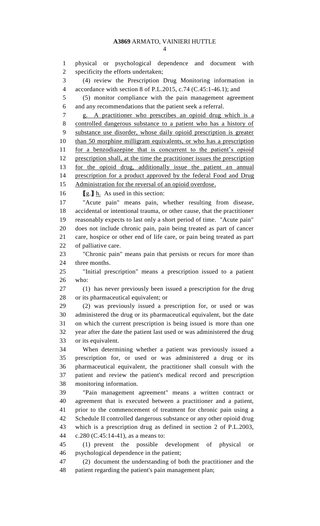physical or psychological dependence and document with specificity the efforts undertaken; (4) review the Prescription Drug Monitoring information in accordance with section 8 of P.L.2015, c.74 (C.45:1-46.1); and (5) monitor compliance with the pain management agreement and any recommendations that the patient seek a referral. g. A practitioner who prescribes an opioid drug which is a controlled dangerous substance to a patient who has a history of substance use disorder, whose daily opioid prescription is greater 10 than 50 morphine milligram equivalents, or who has a prescription for a benzodiazepine that is concurrent to the patient's opioid prescription shall, at the time the practitioner issues the prescription for the opioid drug, additionally issue the patient an annual 14 prescription for a product approved by the federal Food and Drug Administration for the reversal of an opioid overdose. **[**g.**]** h. As used in this section: "Acute pain" means pain, whether resulting from disease, accidental or intentional trauma, or other cause, that the practitioner reasonably expects to last only a short period of time. "Acute pain" does not include chronic pain, pain being treated as part of cancer care, hospice or other end of life care, or pain being treated as part of palliative care. "Chronic pain" means pain that persists or recurs for more than three months. "Initial prescription" means a prescription issued to a patient who: (1) has never previously been issued a prescription for the drug or its pharmaceutical equivalent; or (2) was previously issued a prescription for, or used or was administered the drug or its pharmaceutical equivalent, but the date on which the current prescription is being issued is more than one year after the date the patient last used or was administered the drug or its equivalent. When determining whether a patient was previously issued a prescription for, or used or was administered a drug or its pharmaceutical equivalent, the practitioner shall consult with the patient and review the patient's medical record and prescription monitoring information. "Pain management agreement" means a written contract or agreement that is executed between a practitioner and a patient, prior to the commencement of treatment for chronic pain using a Schedule II controlled dangerous substance or any other opioid drug which is a prescription drug as defined in section 2 of P.L.2003, c.280 (C.45:14-41), as a means to: (1) prevent the possible development of physical or psychological dependence in the patient; (2) document the understanding of both the practitioner and the

patient regarding the patient's pain management plan;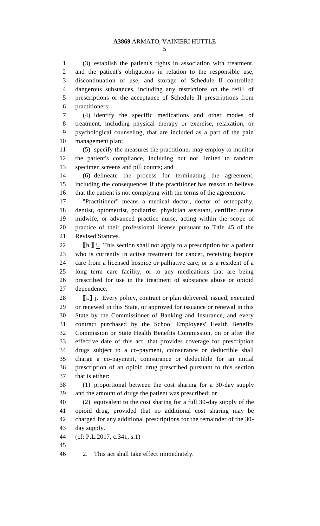### **A3869** ARMATO, VAINIERI HUTTLE

 (3) establish the patient's rights in association with treatment, and the patient's obligations in relation to the responsible use, discontinuation of use, and storage of Schedule II controlled dangerous substances, including any restrictions on the refill of prescriptions or the acceptance of Schedule II prescriptions from practitioners;

 (4) identify the specific medications and other modes of treatment, including physical therapy or exercise, relaxation, or psychological counseling, that are included as a part of the pain management plan;

 (5) specify the measures the practitioner may employ to monitor the patient's compliance, including but not limited to random specimen screens and pill counts; and

 (6) delineate the process for terminating the agreement, including the consequences if the practitioner has reason to believe that the patient is not complying with the terms of the agreement.

 "Practitioner" means a medical doctor, doctor of osteopathy, dentist, optometrist, podiatrist, physician assistant, certified nurse midwife, or advanced practice nurse, acting within the scope of practice of their professional license pursuant to Title 45 of the Revised Statutes.

**[b.]** i. This section shall not apply to a prescription for a patient who is currently in active treatment for cancer, receiving hospice care from a licensed hospice or palliative care, or is a resident of a long term care facility, or to any medications that are being prescribed for use in the treatment of substance abuse or opioid dependence.

 **[**i.**]** j. Every policy, contract or plan delivered, issued, executed or renewed in this State, or approved for issuance or renewal in this State by the Commissioner of Banking and Insurance, and every contract purchased by the School Employees' Health Benefits Commission or State Health Benefits Commission, on or after the effective date of this act, that provides coverage for prescription drugs subject to a co-payment, coinsurance or deductible shall charge a co-payment, coinsurance or deductible for an initial prescription of an opioid drug prescribed pursuant to this section that is either:

 (1) proportional between the cost sharing for a 30-day supply and the amount of drugs the patient was prescribed; or

 (2) equivalent to the cost sharing for a full 30-day supply of the opioid drug, provided that no additional cost sharing may be charged for any additional prescriptions for the remainder of the 30- day supply.

- (cf: P.L.2017, c.341, s.1)
- 

2. This act shall take effect immediately.